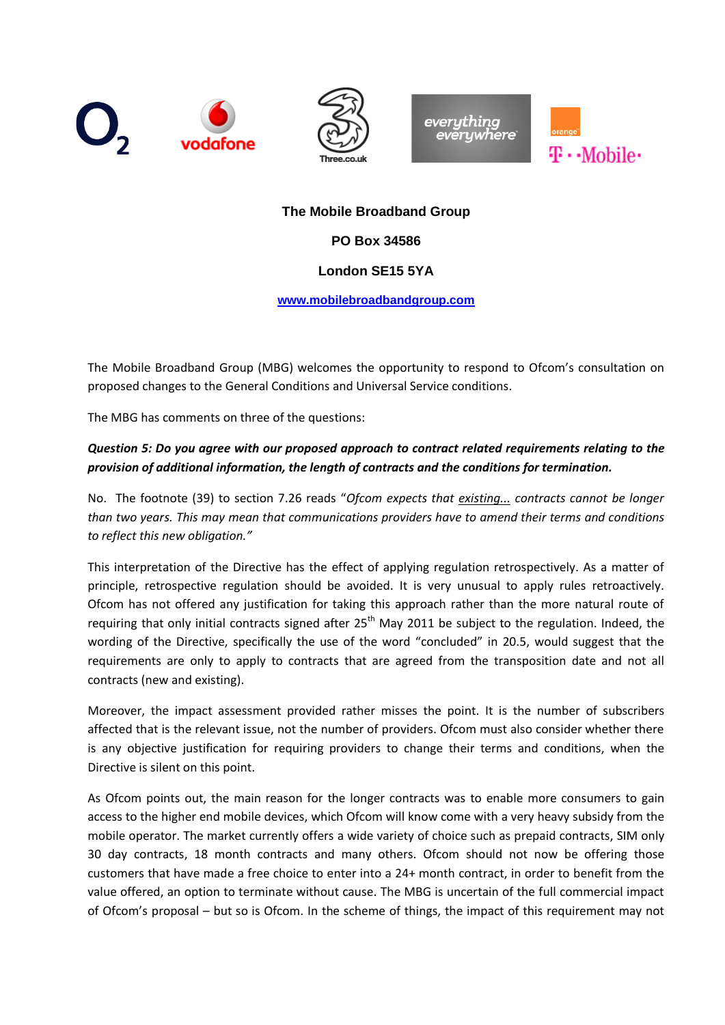







## **The Mobile Broadband Group**

### **PO Box 34586**

## **London SE15 5YA**

**[www.mobilebroadbandgroup.com](http://www.mobilebroadbandgroup.com/)**

The Mobile Broadband Group (MBG) welcomes the opportunity to respond to Ofcom's consultation on proposed changes to the General Conditions and Universal Service conditions.

The MBG has comments on three of the questions:

## *Question 5: Do you agree with our proposed approach to contract related requirements relating to the provision of additional information, the length of contracts and the conditions for termination.*

No. The footnote (39) to section 7.26 reads "*Ofcom expects that existing... contracts cannot be longer than two years. This may mean that communications providers have to amend their terms and conditions to reflect this new obligation."*

This interpretation of the Directive has the effect of applying regulation retrospectively. As a matter of principle, retrospective regulation should be avoided. It is very unusual to apply rules retroactively. Ofcom has not offered any justification for taking this approach rather than the more natural route of requiring that only initial contracts signed after  $25<sup>th</sup>$  May 2011 be subject to the regulation. Indeed, the wording of the Directive, specifically the use of the word "concluded" in 20.5, would suggest that the requirements are only to apply to contracts that are agreed from the transposition date and not all contracts (new and existing).

Moreover, the impact assessment provided rather misses the point. It is the number of subscribers affected that is the relevant issue, not the number of providers. Ofcom must also consider whether there is any objective justification for requiring providers to change their terms and conditions, when the Directive is silent on this point.

As Ofcom points out, the main reason for the longer contracts was to enable more consumers to gain access to the higher end mobile devices, which Ofcom will know come with a very heavy subsidy from the mobile operator. The market currently offers a wide variety of choice such as prepaid contracts, SIM only 30 day contracts, 18 month contracts and many others. Ofcom should not now be offering those customers that have made a free choice to enter into a 24+ month contract, in order to benefit from the value offered, an option to terminate without cause. The MBG is uncertain of the full commercial impact of Ofcom's proposal – but so is Ofcom. In the scheme of things, the impact of this requirement may not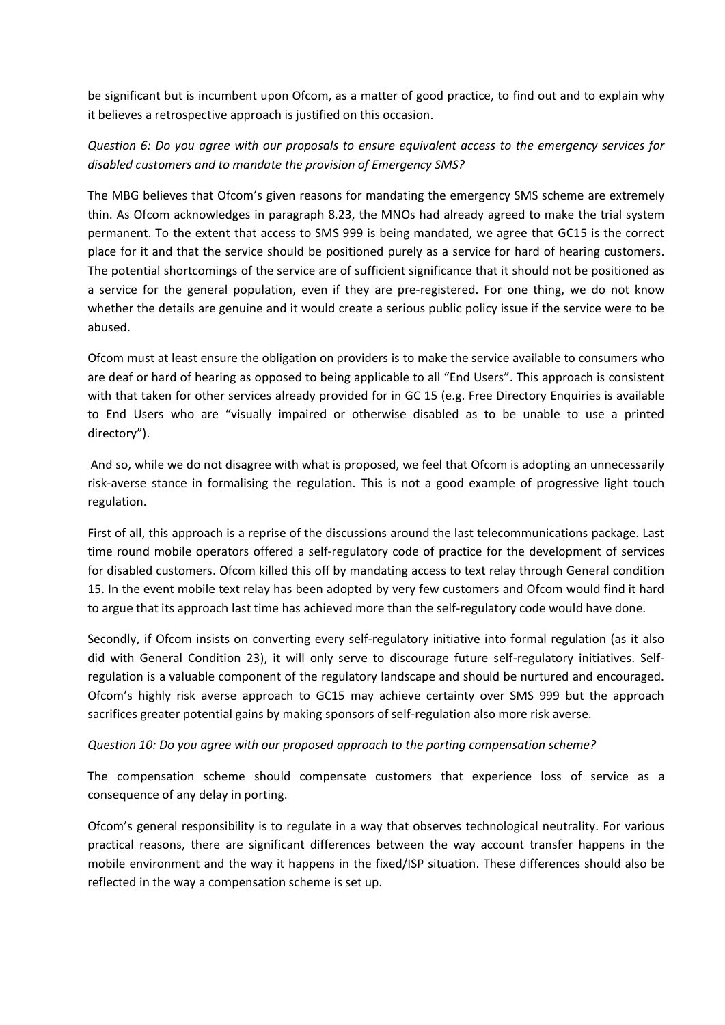be significant but is incumbent upon Ofcom, as a matter of good practice, to find out and to explain why it believes a retrospective approach is justified on this occasion.

# *Question 6: Do you agree with our proposals to ensure equivalent access to the emergency services for disabled customers and to mandate the provision of Emergency SMS?*

The MBG believes that Ofcom's given reasons for mandating the emergency SMS scheme are extremely thin. As Ofcom acknowledges in paragraph 8.23, the MNOs had already agreed to make the trial system permanent. To the extent that access to SMS 999 is being mandated, we agree that GC15 is the correct place for it and that the service should be positioned purely as a service for hard of hearing customers. The potential shortcomings of the service are of sufficient significance that it should not be positioned as a service for the general population, even if they are pre-registered. For one thing, we do not know whether the details are genuine and it would create a serious public policy issue if the service were to be abused.

Ofcom must at least ensure the obligation on providers is to make the service available to consumers who are deaf or hard of hearing as opposed to being applicable to all "End Users". This approach is consistent with that taken for other services already provided for in GC 15 (e.g. Free Directory Enquiries is available to End Users who are "visually impaired or otherwise disabled as to be unable to use a printed directory").

And so, while we do not disagree with what is proposed, we feel that Ofcom is adopting an unnecessarily risk-averse stance in formalising the regulation. This is not a good example of progressive light touch regulation.

First of all, this approach is a reprise of the discussions around the last telecommunications package. Last time round mobile operators offered a self-regulatory code of practice for the development of services for disabled customers. Ofcom killed this off by mandating access to text relay through General condition 15. In the event mobile text relay has been adopted by very few customers and Ofcom would find it hard to argue that its approach last time has achieved more than the self-regulatory code would have done.

Secondly, if Ofcom insists on converting every self-regulatory initiative into formal regulation (as it also did with General Condition 23), it will only serve to discourage future self-regulatory initiatives. Selfregulation is a valuable component of the regulatory landscape and should be nurtured and encouraged. Ofcom's highly risk averse approach to GC15 may achieve certainty over SMS 999 but the approach sacrifices greater potential gains by making sponsors of self-regulation also more risk averse.

### *Question 10: Do you agree with our proposed approach to the porting compensation scheme?*

The compensation scheme should compensate customers that experience loss of service as a consequence of any delay in porting.

Ofcom's general responsibility is to regulate in a way that observes technological neutrality. For various practical reasons, there are significant differences between the way account transfer happens in the mobile environment and the way it happens in the fixed/ISP situation. These differences should also be reflected in the way a compensation scheme is set up.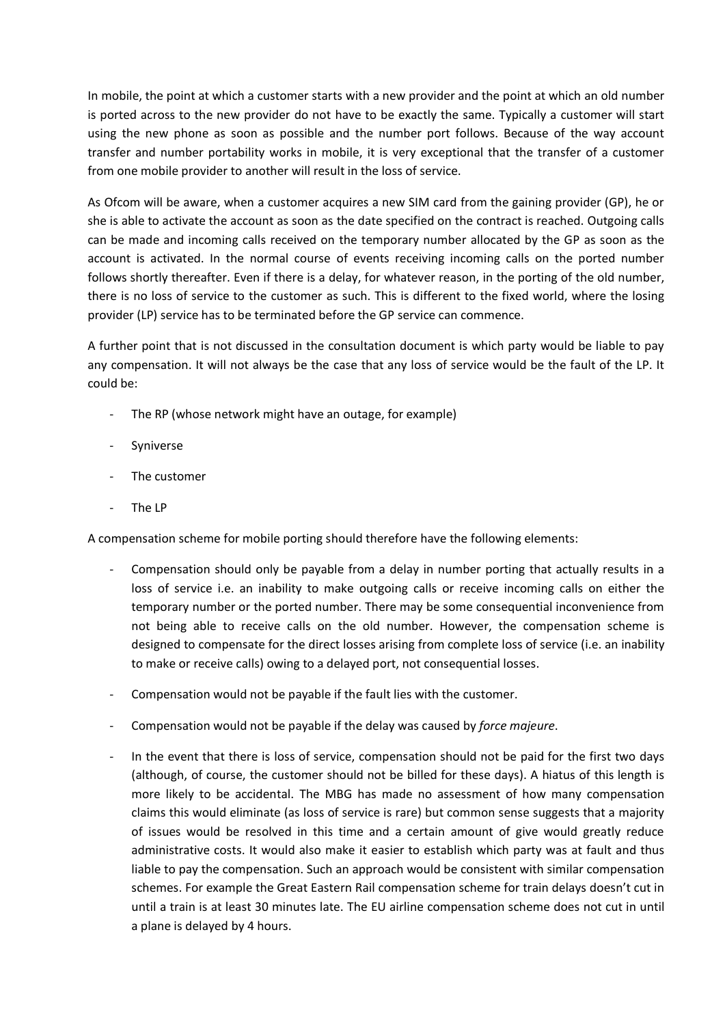In mobile, the point at which a customer starts with a new provider and the point at which an old number is ported across to the new provider do not have to be exactly the same. Typically a customer will start using the new phone as soon as possible and the number port follows. Because of the way account transfer and number portability works in mobile, it is very exceptional that the transfer of a customer from one mobile provider to another will result in the loss of service.

As Ofcom will be aware, when a customer acquires a new SIM card from the gaining provider (GP), he or she is able to activate the account as soon as the date specified on the contract is reached. Outgoing calls can be made and incoming calls received on the temporary number allocated by the GP as soon as the account is activated. In the normal course of events receiving incoming calls on the ported number follows shortly thereafter. Even if there is a delay, for whatever reason, in the porting of the old number, there is no loss of service to the customer as such. This is different to the fixed world, where the losing provider (LP) service has to be terminated before the GP service can commence.

A further point that is not discussed in the consultation document is which party would be liable to pay any compensation. It will not always be the case that any loss of service would be the fault of the LP. It could be:

- The RP (whose network might have an outage, for example)
- Syniverse
- The customer
- The LP

A compensation scheme for mobile porting should therefore have the following elements:

- Compensation should only be payable from a delay in number porting that actually results in a loss of service i.e. an inability to make outgoing calls or receive incoming calls on either the temporary number or the ported number. There may be some consequential inconvenience from not being able to receive calls on the old number. However, the compensation scheme is designed to compensate for the direct losses arising from complete loss of service (i.e. an inability to make or receive calls) owing to a delayed port, not consequential losses.
- Compensation would not be payable if the fault lies with the customer.
- Compensation would not be payable if the delay was caused by *force majeure*.
- In the event that there is loss of service, compensation should not be paid for the first two days (although, of course, the customer should not be billed for these days). A hiatus of this length is more likely to be accidental. The MBG has made no assessment of how many compensation claims this would eliminate (as loss of service is rare) but common sense suggests that a majority of issues would be resolved in this time and a certain amount of give would greatly reduce administrative costs. It would also make it easier to establish which party was at fault and thus liable to pay the compensation. Such an approach would be consistent with similar compensation schemes. For example the Great Eastern Rail compensation scheme for train delays doesn't cut in until a train is at least 30 minutes late. The EU airline compensation scheme does not cut in until a plane is delayed by 4 hours.